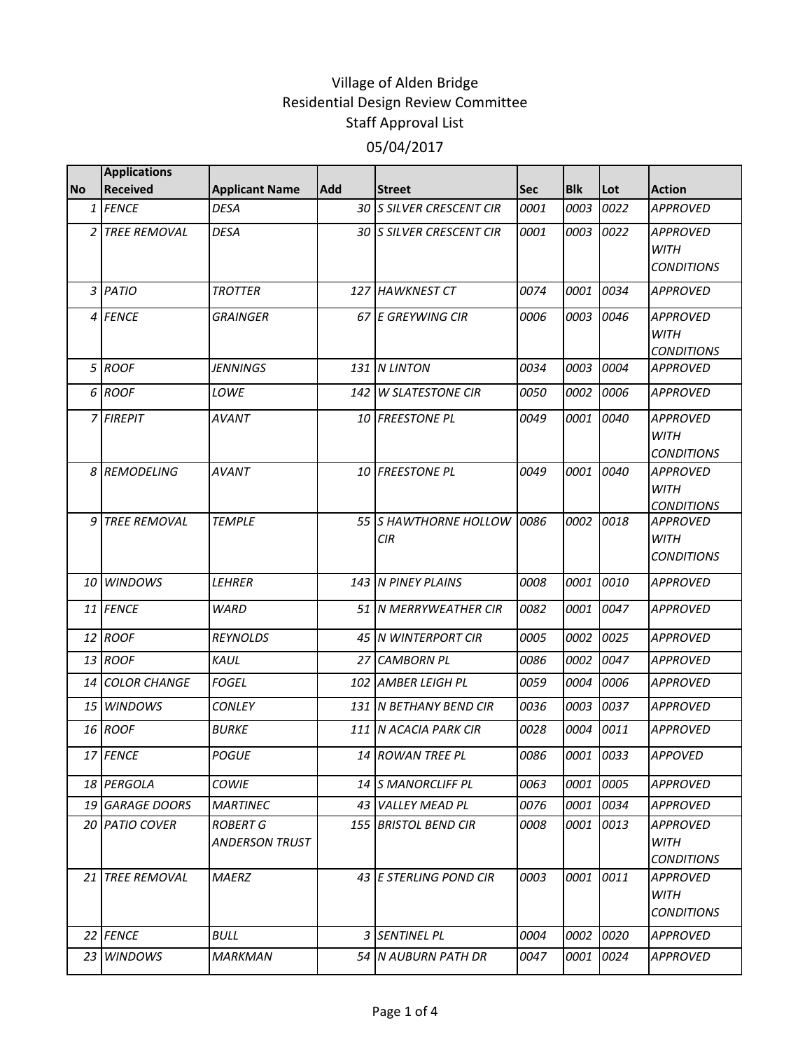|           | <b>Applications</b>       |                                          |            |                             |             |            |           |                                  |
|-----------|---------------------------|------------------------------------------|------------|-----------------------------|-------------|------------|-----------|----------------------------------|
| <b>No</b> | <b>Received</b>           | <b>Applicant Name</b>                    | <b>Add</b> | <b>Street</b>               | Sec         | <b>Blk</b> | Lot       | <b>Action</b>                    |
|           | 1 FENCE                   | <b>DESA</b>                              |            | 30 S SILVER CRESCENT CIR    | 0001        | 0003       | 0022      | <b>APPROVED</b>                  |
|           | 2 TREE REMOVAL            | <b>DESA</b>                              |            | 30 S SILVER CRESCENT CIR    | 0001        | 0003       | 0022      | <b>APPROVED</b><br><b>WITH</b>   |
|           |                           |                                          |            |                             |             |            |           | <b>CONDITIONS</b>                |
|           | 3 PATIO                   | <b>TROTTER</b>                           |            | 127 HAWKNEST CT             | 0074        | 0001       | 0034      | <b>APPROVED</b>                  |
|           | 4 FENCE                   | <b>GRAINGER</b>                          |            | 67 E GREYWING CIR           | 0006        | 0003       | 0046      | <b>APPROVED</b><br><b>WITH</b>   |
|           |                           |                                          |            |                             |             |            |           | <b>CONDITIONS</b>                |
|           | 5 ROOF                    | <b>JENNINGS</b>                          |            | 131 N LINTON                | 0034        | 0003       | 0004      | <b>APPROVED</b>                  |
|           | 6 ROOF                    | LOWE                                     | 142 I      | <b>W SLATESTONE CIR</b>     | <i>0050</i> | 0002       | 0006      | <b>APPROVED</b>                  |
|           | 7 FIREPIT                 | <b>AVANT</b>                             |            | 10 FREESTONE PL             | 0049        | 0001       | 0040      | <b>APPROVED</b><br><b>WITH</b>   |
|           |                           |                                          |            |                             |             |            |           | <b>CONDITIONS</b>                |
|           | 8 REMODELING              | <b>AVANT</b>                             |            | 10 FREESTONE PL             | 0049        | 0001       | 0040      | <b>APPROVED</b>                  |
|           |                           |                                          |            |                             |             |            |           | <b>WITH</b><br><b>CONDITIONS</b> |
| 9         | <b>TREE REMOVAL</b>       | <b>TEMPLE</b>                            |            | 55 S HAWTHORNE HOLLOW       | 0086        | 0002       | 0018      | <b>APPROVED</b>                  |
|           |                           |                                          |            | <b>CIR</b>                  |             |            |           | <b>WITH</b>                      |
|           |                           |                                          |            |                             |             |            |           | <b>CONDITIONS</b>                |
|           | 10 WINDOWS                | LEHRER                                   |            | 143 N PINEY PLAINS          | 0008        | 0001       | 0010      | <b>APPROVED</b>                  |
|           | 11 FENCE                  | <b>WARD</b>                              |            | 51 N MERRYWEATHER CIR       | 0082        | 0001       | 0047      | <b>APPROVED</b>                  |
|           | 12 ROOF                   | <b>REYNOLDS</b>                          |            | 45 N WINTERPORT CIR         | 0005        | 0002       | 0025      | <b>APPROVED</b>                  |
|           | 13 ROOF                   | KAUL                                     |            | 27 CAMBORN PL               | 0086        | 0002       | 0047      | <b>APPROVED</b>                  |
|           | 14 COLOR CHANGE           | <b>FOGEL</b>                             | 102        | <b>AMBER LEIGH PL</b>       | 0059        | 0004       | 0006      | <b>APPROVED</b>                  |
|           | 15 WINDOWS                | <b>CONLEY</b>                            |            | 131 N BETHANY BEND CIR      | 0036        | 0003       | 0037      | <b>APPROVED</b>                  |
|           | 16 ROOF                   | <b>BURKE</b>                             |            | 111 N ACACIA PARK CIR       | 0028        | 0004       | 0011      | <b>APPROVED</b>                  |
|           | 17 FENCE                  | <b>POGUE</b>                             |            | 14 ROWAN TREE PL            | 0086        |            | 0001 0033 | <b>APPOVED</b>                   |
|           | <i>18 <b>IPERGOLA</b></i> | <b>COWIE</b>                             |            | 14 IS MANORCLIFF PL         | 0063        | 0001       | 0005      | APPROVED                         |
|           | 19 GARAGE DOORS           | <b>MARTINEC</b>                          |            | 43 VALLEY MEAD PL           | 0076        | 0001       | 0034      | <b>APPROVED</b>                  |
|           | 20 PATIO COVER            | <b>ROBERT G</b><br><b>ANDERSON TRUST</b> |            | <b>155 BRISTOL BEND CIR</b> | 0008        | 0001       | 0013      | <b>APPROVED</b><br>WITH          |
|           |                           |                                          |            |                             |             |            |           | <b>CONDITIONS</b>                |
|           | 21 TREE REMOVAL           | <b>MAERZ</b>                             |            | 43 E STERLING POND CIR      | 0003        | 0001       | 0011      | <b>APPROVED</b>                  |
|           |                           |                                          |            |                             |             |            |           | <b>WITH</b>                      |
|           |                           |                                          |            |                             |             |            |           | <b>CONDITIONS</b>                |
|           | 22 FENCE                  | <b>BULL</b>                              |            | 3 SENTINEL PL               | 0004        | 0002       | 0020      | APPROVED                         |
|           | 23 WINDOWS                | <b>MARKMAN</b>                           |            | 54 N AUBURN PATH DR         | 0047        | 0001       | 0024      | <b>APPROVED</b>                  |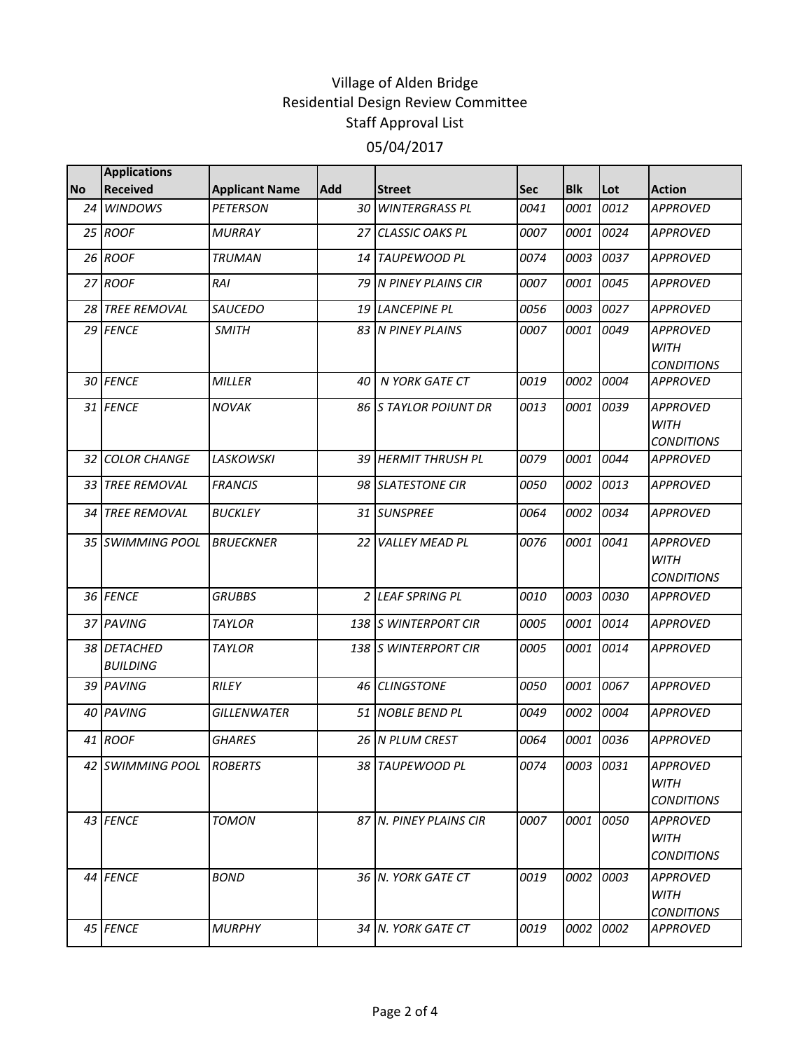|           | <b>Applications</b>            |                       |            |                        |      |            |           |                                                     |
|-----------|--------------------------------|-----------------------|------------|------------------------|------|------------|-----------|-----------------------------------------------------|
| <b>No</b> | <b>Received</b>                | <b>Applicant Name</b> | <b>Add</b> | <b>Street</b>          | Sec  | <b>Blk</b> | Lot       | <b>Action</b>                                       |
| 24        | <b>WINDOWS</b>                 | <b>PETERSON</b>       |            | 30 WINTERGRASS PL      | 0041 | 0001       | 0012      | <b>APPROVED</b>                                     |
|           | 25 ROOF                        | <b>MURRAY</b>         |            | 27 CLASSIC OAKS PL     | 0007 | 0001       | 0024      | <b>APPROVED</b>                                     |
|           | 26 ROOF                        | <b>TRUMAN</b>         | 14 I       | TAUPEWOOD PL           | 0074 | 0003       | 0037      | <b>APPROVED</b>                                     |
|           | 27 ROOF                        | RAI                   |            | 79 N PINEY PLAINS CIR  | 0007 | 0001       | 0045      | <b>APPROVED</b>                                     |
|           | 28 TREE REMOVAL                | <b>SAUCEDO</b>        |            | 19 LANCEPINE PL        | 0056 | 0003       | 0027      | <b>APPROVED</b>                                     |
|           | 29 FENCE                       | <b>SMITH</b>          |            | 83 N PINEY PLAINS      | 0007 | 0001       | 0049      | <b>APPROVED</b><br><b>WITH</b><br><b>CONDITIONS</b> |
|           | 30 FENCE                       | MILLER                | 40         | N YORK GATE CT         | 0019 | 0002       | 0004      | <b>APPROVED</b>                                     |
|           | 31 FENCE                       | <b>NOVAK</b>          |            | 86 S TAYLOR POIUNT DR  | 0013 | 0001       | 0039      | <b>APPROVED</b><br><b>WITH</b><br><b>CONDITIONS</b> |
|           | 32 COLOR CHANGE                | <b>LASKOWSKI</b>      |            | 39 HERMIT THRUSH PL    | 0079 | 0001       | 0044      | <b>APPROVED</b>                                     |
|           | 33 TREE REMOVAL                | <b>FRANCIS</b>        |            | 98 SLATESTONE CIR      | 0050 | 0002       | 0013      | <b>APPROVED</b>                                     |
| 34 I      | <b>TREE REMOVAL</b>            | <b>BUCKLEY</b>        |            | 31 SUNSPREE            | 0064 | 0002       | 0034      | <b>APPROVED</b>                                     |
|           | 35 SWIMMING POOL               | <b>BRUECKNER</b>      | 22 I       | <b>VALLEY MEAD PL</b>  | 0076 | 0001       | 0041      | <b>APPROVED</b><br><b>WITH</b><br><b>CONDITIONS</b> |
|           | 36 FENCE                       | <b>GRUBBS</b>         |            | 2 LEAF SPRING PL       | 0010 | 0003       | 0030      | <b>APPROVED</b>                                     |
|           | 37 PAVING                      | <b>TAYLOR</b>         |            | 138 S WINTERPORT CIR   | 0005 | 0001       | 0014      | <b>APPROVED</b>                                     |
|           | 38 DETACHED<br><b>BUILDING</b> | <b>TAYLOR</b>         |            | 138 S WINTERPORT CIR   | 0005 | 0001       | 0014      | <b>APPROVED</b>                                     |
|           | 39 PAVING                      | RILEY                 |            | 46 CLINGSTONE          | 0050 | 0001       | 0067      | <b>APPROVED</b>                                     |
|           | 40 PAVING                      | GILLENWATER           |            | 51 NOBLE BEND PL       | 0049 | 0002       | 0004      | <b>APPROVED</b>                                     |
|           | 41 ROOF                        | <b>GHARES</b>         |            | 26 N PLUM CREST        | 0064 | 0001       | 0036      | <b>APPROVED</b>                                     |
|           | 42 SWIMMING POOL ROBERTS       |                       |            | 38 TAUPEWOOD PL        | 0074 | 0003 0031  |           | <b>APPROVED</b><br><b>WITH</b><br><b>CONDITIONS</b> |
|           | 43 FENCE                       | <b>TOMON</b>          |            | 87 N. PINEY PLAINS CIR | 0007 |            | 0001 0050 | APPROVED<br><b>WITH</b><br><b>CONDITIONS</b>        |
|           | 44 FENCE                       | <b>BOND</b>           |            | 36 N. YORK GATE CT     | 0019 |            | 0002 0003 | <b>APPROVED</b><br><b>WITH</b><br><b>CONDITIONS</b> |
|           | 45 FENCE                       | <b>MURPHY</b>         |            | 34 N. YORK GATE CT     | 0019 |            | 0002 0002 | <b>APPROVED</b>                                     |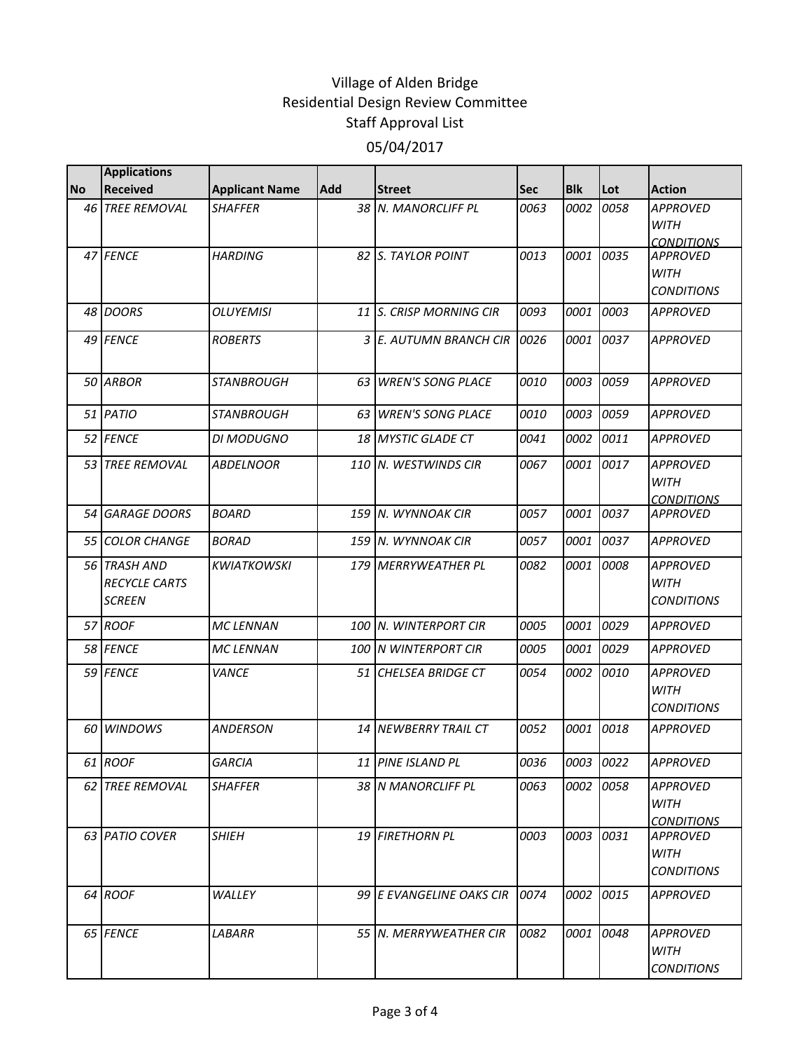|           | <b>Applications</b>                            |                       |            |                          |            |            |      |                                                     |
|-----------|------------------------------------------------|-----------------------|------------|--------------------------|------------|------------|------|-----------------------------------------------------|
| <b>No</b> | <b>Received</b>                                | <b>Applicant Name</b> | <b>Add</b> | <b>Street</b>            | <b>Sec</b> | <b>Blk</b> | Lot  | <b>Action</b>                                       |
| 46        | <b>TREE REMOVAL</b>                            | <b>SHAFFER</b>        | 38         | N. MANORCLIFF PL         | 0063       | 0002       | 0058 | <b>APPROVED</b><br><b>WITH</b><br><b>CONDITIONS</b> |
|           | 47 FENCE                                       | <b>HARDING</b>        | 82         | <b>S. TAYLOR POINT</b>   | 0013       | 0001       | 0035 | <b>APPROVED</b><br><b>WITH</b><br><b>CONDITIONS</b> |
|           | 48 DOORS                                       | <b>OLUYEMISI</b>      |            | 11 S. CRISP MORNING CIR  | 0093       | 0001       | 0003 | <b>APPROVED</b>                                     |
|           | 49 FENCE                                       | <b>ROBERTS</b>        | 3          | E. AUTUMN BRANCH CIR     | 0026       | 0001       | 0037 | <b>APPROVED</b>                                     |
|           | 50 ARBOR                                       | <b>STANBROUGH</b>     | 63         | <b>WREN'S SONG PLACE</b> | 0010       | 0003       | 0059 | <b>APPROVED</b>                                     |
|           | 51 PATIO                                       | <b>STANBROUGH</b>     | 63         | <b>WREN'S SONG PLACE</b> | 0010       | 0003       | 0059 | <b>APPROVED</b>                                     |
|           | 52 FENCE                                       | <b>DI MODUGNO</b>     | 18         | <b>MYSTIC GLADE CT</b>   | 0041       | 0002       | 0011 | <b>APPROVED</b>                                     |
| 53        | <b>TREE REMOVAL</b>                            | <b>ABDELNOOR</b>      | 110        | N. WESTWINDS CIR         | 0067       | 0001       | 0017 | <b>APPROVED</b><br><b>WITH</b><br><b>CONDITIONS</b> |
| 54        | <b>GARAGE DOORS</b>                            | <b>BOARD</b>          |            | 159 N. WYNNOAK CIR       | 0057       | 0001       | 0037 | <b>APPROVED</b>                                     |
|           | 55 COLOR CHANGE                                | <b>BORAD</b>          |            | 159 N. WYNNOAK CIR       | 0057       | 0001       | 0037 | <b>APPROVED</b>                                     |
|           | 56 TRASH AND<br>RECYCLE CARTS<br><b>SCREEN</b> | <b>KWIATKOWSKI</b>    | 179        | <b>MERRYWEATHER PL</b>   | 0082       | 0001       | 0008 | <b>APPROVED</b><br><b>WITH</b><br><b>CONDITIONS</b> |
|           | 57 ROOF                                        | <b>MC LENNAN</b>      |            | 100 N. WINTERPORT CIR    | 0005       | 0001       | 0029 | <b>APPROVED</b>                                     |
|           | 58 FENCE                                       | <b>MC LENNAN</b>      |            | 100 N WINTERPORT CIR     | 0005       | 0001       | 0029 | <b>APPROVED</b>                                     |
|           | 59 FENCE                                       | <b>VANCE</b>          | 51         | CHELSEA BRIDGE CT        | 0054       | 0002       | 0010 | <b>APPROVED</b><br><b>WITH</b><br><b>CONDITIONS</b> |
| 60        | <b>WINDOWS</b>                                 | <b>ANDERSON</b>       | 14         | <b>NEWBERRY TRAIL CT</b> | 0052       | 0001       | 0018 | <b>APPROVED</b>                                     |
|           | 61 ROOF                                        | GARCIA                |            | 11 PINE ISLAND PL        | 0036       | 0003 0022  |      | <b>APPROVED</b>                                     |
|           | 62 TREE REMOVAL                                | <i>SHAFFER</i>        |            | 38 IN MANORCLIFF PL      | 0063       | 0002       | 0058 | <b>APPROVED</b><br>WITH<br><b>CONDITIONS</b>        |
|           | 63 PATIO COVER                                 | <b>SHIEH</b>          |            | 19 FIRETHORN PL          | 0003       | 0003       | 0031 | <b>APPROVED</b><br>WITH<br><b>CONDITIONS</b>        |
|           | 64 ROOF                                        | WALLEY                |            | 99 E EVANGELINE OAKS CIR | 0074       | 0002       | 0015 | <b>APPROVED</b>                                     |
|           | 65 FENCE                                       | LABARR                |            | 55 N. MERRYWEATHER CIR   | 0082       | 0001       | 0048 | <b>APPROVED</b><br>WITH<br><b>CONDITIONS</b>        |